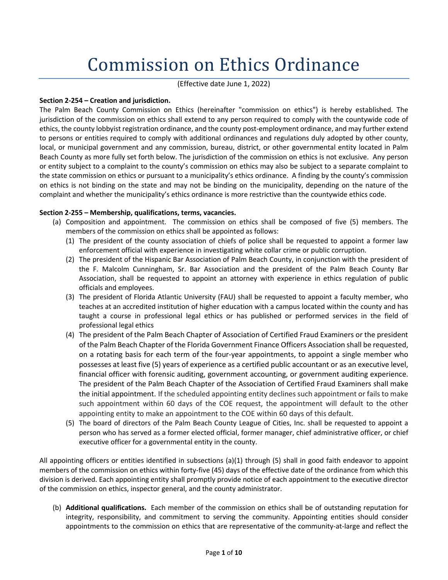# Commission on Ethics Ordinance

(Effective date June 1, 2022)

# **Section 2-254 – Creation and jurisdiction.**

The Palm Beach County Commission on Ethics (hereinafter "commission on ethics") is hereby established. The jurisdiction of the commission on ethics shall extend to any person required to comply with the countywide code of ethics, the county lobbyist registration ordinance, and the county post-employment ordinance, and may further extend to persons or entities required to comply with additional ordinances and regulations duly adopted by other county, local, or municipal government and any commission, bureau, district, or other governmental entity located in Palm Beach County as more fully set forth below. The jurisdiction of the commission on ethics is not exclusive. Any person or entity subject to a complaint to the county's commission on ethics may also be subject to a separate complaint to the state commission on ethics or pursuant to a municipality's ethics ordinance. A finding by the county's commission on ethics is not binding on the state and may not be binding on the municipality, depending on the nature of the complaint and whether the municipality's ethics ordinance is more restrictive than the countywide ethics code.

# **Section 2-255 – Membership, qualifications, terms, vacancies.**

- (a) Composition and appointment. The commission on ethics shall be composed of five (5) members. The members of the commission on ethics shall be appointed as follows:
	- (1) The president of the county association of chiefs of police shall be requested to appoint a former law enforcement official with experience in investigating white collar crime or public corruption.
	- (2) The president of the Hispanic Bar Association of Palm Beach County, in conjunction with the president of the F. Malcolm Cunningham, Sr. Bar Association and the president of the Palm Beach County Bar Association, shall be requested to appoint an attorney with experience in ethics regulation of public officials and employees.
	- (3) The president of Florida Atlantic University (FAU) shall be requested to appoint a faculty member, who teaches at an accredited institution of higher education with a campus located within the county and has taught a course in professional legal ethics or has published or performed services in the field of professional legal ethics
	- (4) The president of the Palm Beach Chapter of Association of Certified Fraud Examiners or the president of the Palm Beach Chapter of the Florida Government Finance Officers Association shall be requested, on a rotating basis for each term of the four-year appointments, to appoint a single member who possesses at least five (5) years of experience as a certified public accountant or as an executive level, financial officer with forensic auditing, government accounting, or government auditing experience. The president of the Palm Beach Chapter of the Association of Certified Fraud Examiners shall make the initial appointment. If the scheduled appointing entity declines such appointment or fails to make such appointment within 60 days of the COE request, the appointment will default to the other appointing entity to make an appointment to the COE within 60 days of this default.
	- (5) The board of directors of the Palm Beach County League of Cities, Inc. shall be requested to appoint a person who has served as a former elected official, former manager, chief administrative officer, or chief executive officer for a governmental entity in the county.

All appointing officers or entities identified in subsections (a)(1) through (5) shall in good faith endeavor to appoint members of the commission on ethics within forty-five (45) days of the effective date of the ordinance from which this division is derived. Each appointing entity shall promptly provide notice of each appointment to the executive director of the commission on ethics, inspector general, and the county administrator.

(b) **Additional qualifications.** Each member of the commission on ethics shall be of outstanding reputation for integrity, responsibility, and commitment to serving the community. Appointing entities should consider appointments to the commission on ethics that are representative of the community-at-large and reflect the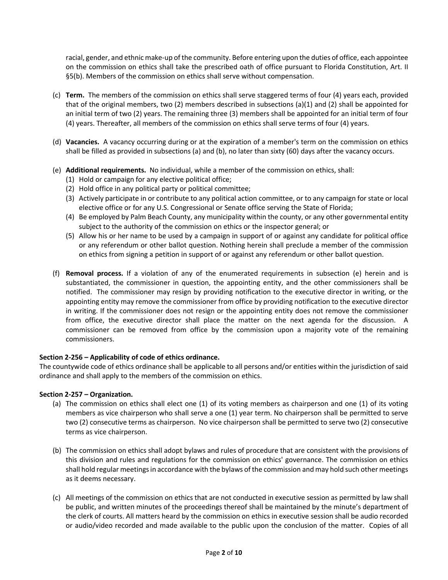racial, gender, and ethnic make-up of the community. Before entering upon the duties of office, each appointee on the commission on ethics shall take the prescribed oath of office pursuant to Florida Constitution, Art. II §5(b). Members of the commission on ethics shall serve without compensation.

- (c) **Term.** The members of the commission on ethics shall serve staggered terms of four (4) years each, provided that of the original members, two (2) members described in subsections (a)(1) and (2) shall be appointed for an initial term of two (2) years. The remaining three (3) members shall be appointed for an initial term of four (4) years. Thereafter, all members of the commission on ethics shall serve terms of four (4) years.
- (d) **Vacancies.** A vacancy occurring during or at the expiration of a member's term on the commission on ethics shall be filled as provided in subsections (a) and (b), no later than sixty (60) days after the vacancy occurs.
- (e) **Additional requirements.** No individual, while a member of the commission on ethics, shall:
	- (1) Hold or campaign for any elective political office;
	- (2) Hold office in any political party or political committee;
	- (3) Actively participate in or contribute to any political action committee, or to any campaign for state or local elective office or for any U.S. Congressional or Senate office serving the State of Florida;
	- (4) Be employed by Palm Beach County, any municipality within the county, or any other governmental entity subject to the authority of the commission on ethics or the inspector general; or
	- (5) Allow his or her name to be used by a campaign in support of or against any candidate for political office or any referendum or other ballot question. Nothing herein shall preclude a member of the commission on ethics from signing a petition in support of or against any referendum or other ballot question.
- (f) **Removal process.** If a violation of any of the enumerated requirements in subsection (e) herein and is substantiated, the commissioner in question, the appointing entity, and the other commissioners shall be notified. The commissioner may resign by providing notification to the executive director in writing, or the appointing entity may remove the commissioner from office by providing notification to the executive director in writing. If the commissioner does not resign or the appointing entity does not remove the commissioner from office, the executive director shall place the matter on the next agenda for the discussion. A commissioner can be removed from office by the commission upon a majority vote of the remaining commissioners.

## **Section 2-256 – Applicability of code of ethics ordinance.**

The countywide code of ethics ordinance shall be applicable to all persons and/or entities within the jurisdiction of said ordinance and shall apply to the members of the commission on ethics.

## **Section 2-257 – Organization.**

- (a) The commission on ethics shall elect one (1) of its voting members as chairperson and one (1) of its voting members as vice chairperson who shall serve a one (1) year term. No chairperson shall be permitted to serve two (2) consecutive terms as chairperson. No vice chairperson shall be permitted to serve two (2) consecutive terms as vice chairperson.
- (b) The commission on ethics shall adopt bylaws and rules of procedure that are consistent with the provisions of this division and rules and regulations for the commission on ethics' governance. The commission on ethics shall hold regular meetings in accordance with the bylaws of the commission and may hold such other meetings as it deems necessary.
- (c) All meetings of the commission on ethics that are not conducted in executive session as permitted by law shall be public, and written minutes of the proceedings thereof shall be maintained by the minute's department of the clerk of courts. All matters heard by the commission on ethics in executive session shall be audio recorded or audio/video recorded and made available to the public upon the conclusion of the matter. Copies of all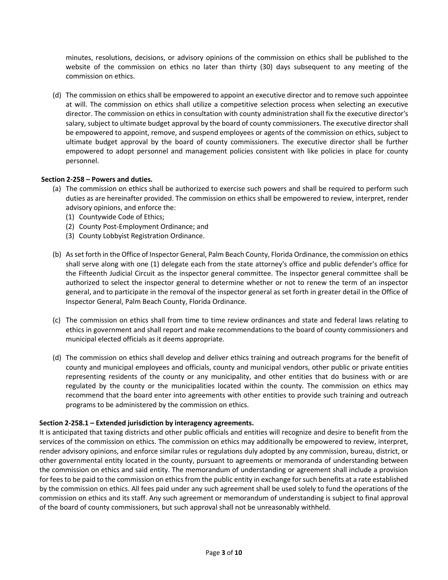minutes, resolutions, decisions, or advisory opinions of the commission on ethics shall be published to the website of the commission on ethics no later than thirty (30) days subsequent to any meeting of the commission on ethics.

(d) The commission on ethics shall be empowered to appoint an executive director and to remove such appointee at will. The commission on ethics shall utilize a competitive selection process when selecting an executive director. The commission on ethics in consultation with county administration shall fix the executive director's salary, subject to ultimate budget approval by the board of county commissioners. The executive director shall be empowered to appoint, remove, and suspend employees or agents of the commission on ethics, subject to ultimate budget approval by the board of county commissioners. The executive director shall be further empowered to adopt personnel and management policies consistent with like policies in place for county personnel.

# **Section 2-258 – Powers and duties.**

- (a) The commission on ethics shall be authorized to exercise such powers and shall be required to perform such duties as are hereinafter provided. The commission on ethics shall be empowered to review, interpret, render advisory opinions, and enforce the:
	- (1) Countywide Code of Ethics;
	- (2) County Post-Employment Ordinance; and
	- (3) County Lobbyist Registration Ordinance.
- (b) As set forth in the Office of Inspector General, Palm Beach County, Florida Ordinance, the commission on ethics shall serve along with one (1) delegate each from the state attorney's office and public defender's office for the Fifteenth Judicial Circuit as the inspector general committee. The inspector general committee shall be authorized to select the inspector general to determine whether or not to renew the term of an inspector general, and to participate in the removal of the inspector general as set forth in greater detail in the Office of Inspector General, Palm Beach County, Florida Ordinance.
- (c) The commission on ethics shall from time to time review ordinances and state and federal laws relating to ethics in government and shall report and make recommendations to the board of county commissioners and municipal elected officials as it deems appropriate.
- (d) The commission on ethics shall develop and deliver ethics training and outreach programs for the benefit of county and municipal employees and officials, county and municipal vendors, other public or private entities representing residents of the county or any municipality, and other entities that do business with or are regulated by the county or the municipalities located within the county. The commission on ethics may recommend that the board enter into agreements with other entities to provide such training and outreach programs to be administered by the commission on ethics.

## **Section 2-258.1 – Extended jurisdiction by interagency agreements.**

It is anticipated that taxing districts and other public officials and entities will recognize and desire to benefit from the services of the commission on ethics. The commission on ethics may additionally be empowered to review, interpret, render advisory opinions, and enforce similar rules or regulations duly adopted by any commission, bureau, district, or other governmental entity located in the county, pursuant to agreements or memoranda of understanding between the commission on ethics and said entity. The memorandum of understanding or agreement shall include a provision for fees to be paid to the commission on ethics from the public entity in exchange for such benefits at a rate established by the commission on ethics. All fees paid under any such agreement shall be used solely to fund the operations of the commission on ethics and its staff. Any such agreement or memorandum of understanding is subject to final approval of the board of county commissioners, but such approval shall not be unreasonably withheld.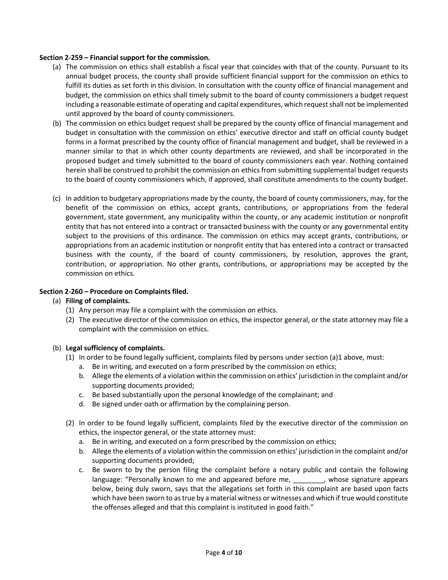## **Section 2-259 – Financial support for the commission.**

- (a) The commission on ethics shall establish a fiscal year that coincides with that of the county. Pursuant to its annual budget process, the county shall provide sufficient financial support for the commission on ethics to fulfill its duties as set forth in this division. In consultation with the county office of financial management and budget, the commission on ethics shall timely submit to the board of county commissioners a budget request including a reasonable estimate of operating and capital expenditures, which request shall not be implemented until approved by the board of county commissioners.
- (b) The commission on ethics budget request shall be prepared by the county office of financial management and budget in consultation with the commission on ethics' executive director and staff on official county budget forms in a format prescribed by the county office of financial management and budget, shall be reviewed in a manner similar to that in which other county departments are reviewed, and shall be incorporated in the proposed budget and timely submitted to the board of county commissioners each year. Nothing contained herein shall be construed to prohibit the commission on ethics from submitting supplemental budget requests to the board of county commissioners which, if approved, shall constitute amendments to the county budget.
- (c) In addition to budgetary appropriations made by the county, the board of county commissioners, may, for the benefit of the commission on ethics, accept grants, contributions, or appropriations from the federal government, state government, any municipality within the county, or any academic institution or nonprofit entity that has not entered into a contract or transacted business with the county or any governmental entity subject to the provisions of this ordinance. The commission on ethics may accept grants, contributions, or appropriations from an academic institution or nonprofit entity that has entered into a contract or transacted business with the county, if the board of county commissioners, by resolution, approves the grant, contribution, or appropriation. No other grants, contributions, or appropriations may be accepted by the commission on ethics.

## **Section 2-260 – Procedure on Complaints filed.**

## (a) **Filing of complaints.**

- (1) Any person may file a complaint with the commission on ethics.
- (2) The executive director of the commission on ethics, the inspector general, or the state attorney may file a complaint with the commission on ethics.

## (b) **Legal sufficiency of complaints.**

- (1) In order to be found legally sufficient, complaints filed by persons under section (a)1 above, must:
	- a. Be in writing, and executed on a form prescribed by the commission on ethics;
	- b. Allege the elements of a violation within the commission on ethics' jurisdiction in the complaint and/or supporting documents provided;
	- c. Be based substantially upon the personal knowledge of the complainant; and
	- d. Be signed under oath or affirmation by the complaining person.
- (2) In order to be found legally sufficient, complaints filed by the executive director of the commission on ethics, the inspector general, or the state attorney must:
	- a. Be in writing, and executed on a form prescribed by the commission on ethics;
	- b. Allege the elements of a violation within the commission on ethics' jurisdiction in the complaint and/or supporting documents provided;
	- c. Be sworn to by the person filing the complaint before a notary public and contain the following language: "Personally known to me and appeared before me, \_\_\_\_\_\_\_\_, whose signature appears below, being duly sworn, says that the allegations set forth in this complaint are based upon facts which have been sworn to as true by a material witness or witnesses and which if true would constitute the offenses alleged and that this complaint is instituted in good faith."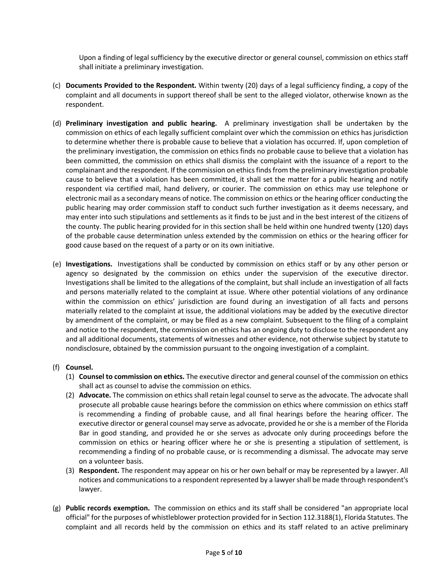Upon a finding of legal sufficiency by the executive director or general counsel, commission on ethics staff shall initiate a preliminary investigation.

- (c) **Documents Provided to the Respondent.** Within twenty (20) days of a legal sufficiency finding, a copy of the complaint and all documents in support thereof shall be sent to the alleged violator, otherwise known as the respondent.
- (d) **Preliminary investigation and public hearing.** A preliminary investigation shall be undertaken by the commission on ethics of each legally sufficient complaint over which the commission on ethics has jurisdiction to determine whether there is probable cause to believe that a violation has occurred. If, upon completion of the preliminary investigation, the commission on ethics finds no probable cause to believe that a violation has been committed, the commission on ethics shall dismiss the complaint with the issuance of a report to the complainant and the respondent. If the commission on ethics finds from the preliminary investigation probable cause to believe that a violation has been committed, it shall set the matter for a public hearing and notify respondent via certified mail, hand delivery, or courier. The commission on ethics may use telephone or electronic mail as a secondary means of notice. The commission on ethics or the hearing officer conducting the public hearing may order commission staff to conduct such further investigation as it deems necessary, and may enter into such stipulations and settlements as it finds to be just and in the best interest of the citizens of the county. The public hearing provided for in this section shall be held within one hundred twenty (120) days of the probable cause determination unless extended by the commission on ethics or the hearing officer for good cause based on the request of a party or on its own initiative.
- (e) **Investigations.** Investigations shall be conducted by commission on ethics staff or by any other person or agency so designated by the commission on ethics under the supervision of the executive director. Investigations shall be limited to the allegations of the complaint, but shall include an investigation of all facts and persons materially related to the complaint at issue. Where other potential violations of any ordinance within the commission on ethics' jurisdiction are found during an investigation of all facts and persons materially related to the complaint at issue, the additional violations may be added by the executive director by amendment of the complaint, or may be filed as a new complaint. Subsequent to the filing of a complaint and notice to the respondent, the commission on ethics has an ongoing duty to disclose to the respondent any and all additional documents, statements of witnesses and other evidence, not otherwise subject by statute to nondisclosure, obtained by the commission pursuant to the ongoing investigation of a complaint.

# (f) **Counsel.**

- (1) **Counsel to commission on ethics.** The executive director and general counsel of the commission on ethics shall act as counsel to advise the commission on ethics.
- (2) **Advocate.** The commission on ethics shall retain legal counsel to serve as the advocate. The advocate shall prosecute all probable cause hearings before the commission on ethics where commission on ethics staff is recommending a finding of probable cause, and all final hearings before the hearing officer. The executive director or general counsel may serve as advocate, provided he or she is a member of the Florida Bar in good standing, and provided he or she serves as advocate only during proceedings before the commission on ethics or hearing officer where he or she is presenting a stipulation of settlement, is recommending a finding of no probable cause, or is recommending a dismissal. The advocate may serve on a volunteer basis.
- (3) **Respondent.** The respondent may appear on his or her own behalf or may be represented by a lawyer. All notices and communications to a respondent represented by a lawyer shall be made through respondent's lawyer.
- (g) **Public records exemption.** The commission on ethics and its staff shall be considered "an appropriate local official" for the purposes of whistleblower protection provided for in Section 112.3188(1), Florida Statutes. The complaint and all records held by the commission on ethics and its staff related to an active preliminary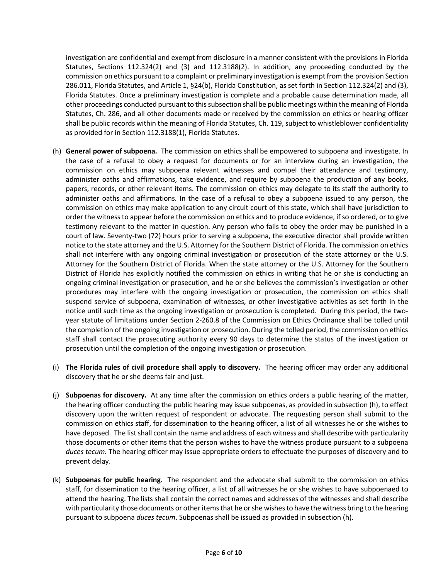investigation are confidential and exempt from disclosure in a manner consistent with the provisions in Florida Statutes, Sections 112.324(2) and (3) and 112.3188(2). In addition, any proceeding conducted by the commission on ethics pursuant to a complaint or preliminary investigation is exempt from the provision Section 286.011, Florida Statutes, and Article 1, §24(b), Florida Constitution, as set forth in Section 112.324(2) and (3), Florida Statutes. Once a preliminary investigation is complete and a probable cause determination made, all other proceedings conducted pursuant to this subsection shall be public meetings within the meaning of Florida Statutes, Ch. 286, and all other documents made or received by the commission on ethics or hearing officer shall be public records within the meaning of Florida Statutes, Ch. 119, subject to whistleblower confidentiality as provided for in Section 112.3188(1), Florida Statutes.

- (h) **General power of subpoena.** The commission on ethics shall be empowered to subpoena and investigate. In the case of a refusal to obey a request for documents or for an interview during an investigation, the commission on ethics may subpoena relevant witnesses and compel their attendance and testimony, administer oaths and affirmations, take evidence, and require by subpoena the production of any books, papers, records, or other relevant items. The commission on ethics may delegate to its staff the authority to administer oaths and affirmations. In the case of a refusal to obey a subpoena issued to any person, the commission on ethics may make application to any circuit court of this state, which shall have jurisdiction to order the witness to appear before the commission on ethics and to produce evidence, if so ordered, or to give testimony relevant to the matter in question. Any person who fails to obey the order may be punished in a court of law. Seventy-two (72) hours prior to serving a subpoena, the executive director shall provide written notice to the state attorney and the U.S. Attorney for the Southern District of Florida. The commission on ethics shall not interfere with any ongoing criminal investigation or prosecution of the state attorney or the U.S. Attorney for the Southern District of Florida. When the state attorney or the U.S. Attorney for the Southern District of Florida has explicitly notified the commission on ethics in writing that he or she is conducting an ongoing criminal investigation or prosecution, and he or she believes the commission's investigation or other procedures may interfere with the ongoing investigation or prosecution, the commission on ethics shall suspend service of subpoena, examination of witnesses, or other investigative activities as set forth in the notice until such time as the ongoing investigation or prosecution is completed. During this period, the twoyear statute of limitations under Section 2-260.8 of the Commission on Ethics Ordinance shall be tolled until the completion of the ongoing investigation or prosecution. During the tolled period, the commission on ethics staff shall contact the prosecuting authority every 90 days to determine the status of the investigation or prosecution until the completion of the ongoing investigation or prosecution.
- (i) **The Florida rules of civil procedure shall apply to discovery.** The hearing officer may order any additional discovery that he or she deems fair and just.
- (j) **Subpoenas for discovery.** At any time after the commission on ethics orders a public hearing of the matter, the hearing officer conducting the public hearing may issue subpoenas, as provided in subsection (h), to effect discovery upon the written request of respondent or advocate. The requesting person shall submit to the commission on ethics staff, for dissemination to the hearing officer, a list of all witnesses he or she wishes to have deposed. The list shall contain the name and address of each witness and shall describe with particularity those documents or other items that the person wishes to have the witness produce pursuant to a subpoena *duces tecum.* The hearing officer may issue appropriate orders to effectuate the purposes of discovery and to prevent delay.
- (k) **Subpoenas for public hearing.** The respondent and the advocate shall submit to the commission on ethics staff, for dissemination to the hearing officer, a list of all witnesses he or she wishes to have subpoenaed to attend the hearing. The lists shall contain the correct names and addresses of the witnesses and shall describe with particularity those documents or other items that he or she wishes to have the witness bring to the hearing pursuant to subpoena *duces tecum*. Subpoenas shall be issued as provided in subsection (h).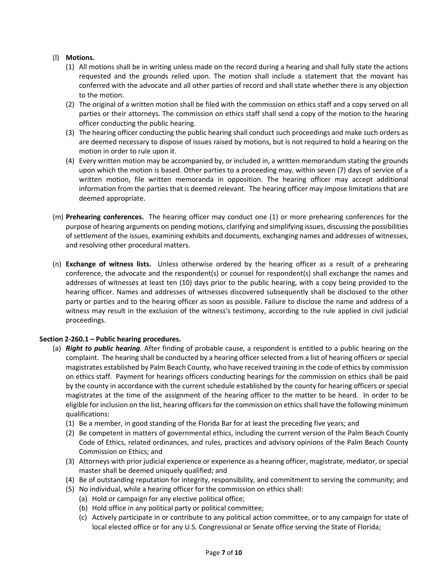# (l) **Motions.**

- (1) All motions shall be in writing unless made on the record during a hearing and shall fully state the actions requested and the grounds relied upon. The motion shall include a statement that the movant has conferred with the advocate and all other parties of record and shall state whether there is any objection to the motion.
- (2) The original of a written motion shall be filed with the commission on ethics staff and a copy served on all parties or their attorneys. The commission on ethics staff shall send a copy of the motion to the hearing officer conducting the public hearing.
- (3) The hearing officer conducting the public hearing shall conduct such proceedings and make such orders as are deemed necessary to dispose of issues raised by motions, but is not required to hold a hearing on the motion in order to rule upon it.
- (4) Every written motion may be accompanied by, or included in, a written memorandum stating the grounds upon which the motion is based. Other parties to a proceeding may, within seven (7) days of service of a written motion, file written memoranda in opposition. The hearing officer may accept additional information from the parties that is deemed relevant. The hearing officer may impose limitations that are deemed appropriate.
- (m) **Prehearing conferences.** The hearing officer may conduct one (1) or more prehearing conferences for the purpose of hearing arguments on pending motions, clarifying and simplifying issues, discussing the possibilities of settlement of the issues, examining exhibits and documents, exchanging names and addresses of witnesses, and resolving other procedural matters.
- (n) **Exchange of witness lists.** Unless otherwise ordered by the hearing officer as a result of a prehearing conference, the advocate and the respondent(s) or counsel for respondent(s) shall exchange the names and addresses of witnesses at least ten (10) days prior to the public hearing, with a copy being provided to the hearing officer. Names and addresses of witnesses discovered subsequently shall be disclosed to the other party or parties and to the hearing officer as soon as possible. Failure to disclose the name and address of a witness may result in the exclusion of the witness's testimony, according to the rule applied in civil judicial proceedings.

# **Section 2-260.1 – Public hearing procedures.**

- (a) *Right to public hearing.* After finding of probable cause, a respondent is entitled to a public hearing on the complaint. The hearing shall be conducted by a hearing officer selected from a list of hearing officers or special magistrates established by Palm Beach County, who have received training in the code of ethics by commission on ethics staff. Payment for hearings officers conducting hearings for the commission on ethics shall be paid by the county in accordance with the current schedule established by the county for hearing officers or special magistrates at the time of the assignment of the hearing officer to the matter to be heard. In order to be eligible for inclusion on the list, hearing officers for the commission on ethics shall have the following minimum qualifications:
	- (1) Be a member, in good standing of the Florida Bar for at least the preceding five years; and
	- (2) Be competent in matters of governmental ethics, including the current version of the Palm Beach County Code of Ethics, related ordinances, and rules, practices and advisory opinions of the Palm Beach County Commission on Ethics; and
	- (3) Attorneys with prior judicial experience or experience as a hearing officer, magistrate, mediator, or special master shall be deemed uniquely qualified; and
	- (4) Be of outstanding reputation for integrity, responsibility, and commitment to serving the community; and
	- (5) No individual, while a hearing officer for the commission on ethics shall:
		- (a) Hold or campaign for any elective political office;
		- (b) Hold office in any political party or political committee;
		- (c) Actively participate in or contribute to any political action committee, or to any campaign for state of local elected office or for any U.S. Congressional or Senate office serving the State of Florida;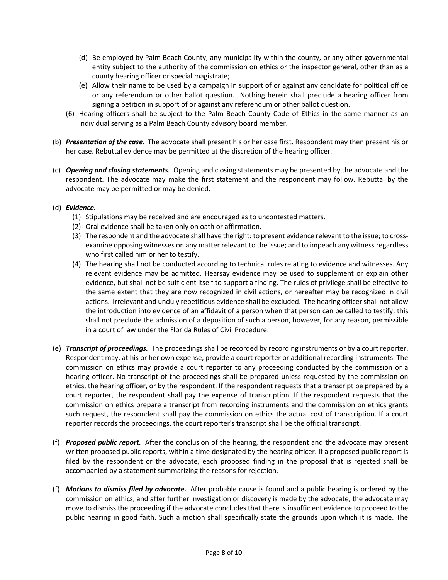- (d) Be employed by Palm Beach County, any municipality within the county, or any other governmental entity subject to the authority of the commission on ethics or the inspector general, other than as a county hearing officer or special magistrate;
- (e) Allow their name to be used by a campaign in support of or against any candidate for political office or any referendum or other ballot question. Nothing herein shall preclude a hearing officer from signing a petition in support of or against any referendum or other ballot question.
- (6) Hearing officers shall be subject to the Palm Beach County Code of Ethics in the same manner as an individual serving as a Palm Beach County advisory board member.
- (b) *Presentation of the case.* The advocate shall present his or her case first. Respondent may then present his or her case. Rebuttal evidence may be permitted at the discretion of the hearing officer.
- (c) *Opening and closing statements.* Opening and closing statements may be presented by the advocate and the respondent. The advocate may make the first statement and the respondent may follow. Rebuttal by the advocate may be permitted or may be denied.
- (d) *Evidence.*
	- (1) Stipulations may be received and are encouraged as to uncontested matters.
	- (2) Oral evidence shall be taken only on oath or affirmation.
	- (3) The respondent and the advocate shall have the right: to present evidence relevant to the issue; to crossexamine opposing witnesses on any matter relevant to the issue; and to impeach any witness regardless who first called him or her to testify.
	- (4) The hearing shall not be conducted according to technical rules relating to evidence and witnesses. Any relevant evidence may be admitted. Hearsay evidence may be used to supplement or explain other evidence, but shall not be sufficient itself to support a finding. The rules of privilege shall be effective to the same extent that they are now recognized in civil actions, or hereafter may be recognized in civil actions. Irrelevant and unduly repetitious evidence shall be excluded. The hearing officer shall not allow the introduction into evidence of an affidavit of a person when that person can be called to testify; this shall not preclude the admission of a deposition of such a person, however, for any reason, permissible in a court of law under the Florida Rules of Civil Procedure.
- (e) *Transcript of proceedings.* The proceedings shall be recorded by recording instruments or by a court reporter. Respondent may, at his or her own expense, provide a court reporter or additional recording instruments. The commission on ethics may provide a court reporter to any proceeding conducted by the commission or a hearing officer. No transcript of the proceedings shall be prepared unless requested by the commission on ethics, the hearing officer, or by the respondent. If the respondent requests that a transcript be prepared by a court reporter, the respondent shall pay the expense of transcription. If the respondent requests that the commission on ethics prepare a transcript from recording instruments and the commission on ethics grants such request, the respondent shall pay the commission on ethics the actual cost of transcription. If a court reporter records the proceedings, the court reporter's transcript shall be the official transcript.
- (f) *Proposed public report.* After the conclusion of the hearing, the respondent and the advocate may present written proposed public reports, within a time designated by the hearing officer. If a proposed public report is filed by the respondent or the advocate, each proposed finding in the proposal that is rejected shall be accompanied by a statement summarizing the reasons for rejection.
- (f) *Motions to dismiss filed by advocate.* After probable cause is found and a public hearing is ordered by the commission on ethics, and after further investigation or discovery is made by the advocate, the advocate may move to dismiss the proceeding if the advocate concludes that there is insufficient evidence to proceed to the public hearing in good faith. Such a motion shall specifically state the grounds upon which it is made. The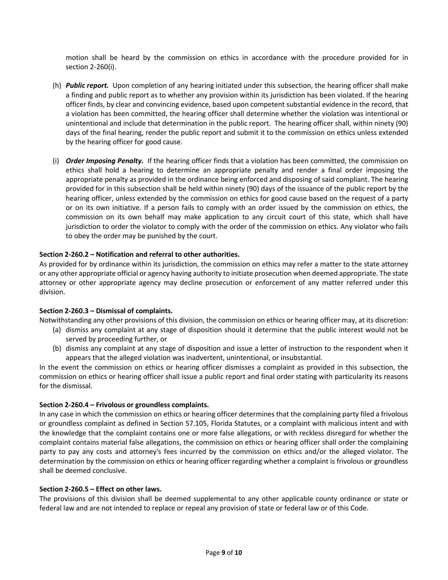motion shall be heard by the commission on ethics in accordance with the procedure provided for in section 2-260(i).

- (h) *Public report.* Upon completion of any hearing initiated under this subsection, the hearing officer shall make a finding and public report as to whether any provision within its jurisdiction has been violated. If the hearing officer finds, by clear and convincing evidence, based upon competent substantial evidence in the record, that a violation has been committed, the hearing officer shall determine whether the violation was intentional or unintentional and include that determination in the public report. The hearing officer shall, within ninety (90) days of the final hearing, render the public report and submit it to the commission on ethics unless extended by the hearing officer for good cause.
- (i) *Order Imposing Penalty.* If the hearing officer finds that a violation has been committed, the commission on ethics shall hold a hearing to determine an appropriate penalty and render a final order imposing the appropriate penalty as provided in the ordinance being enforced and disposing of said compliant. The hearing provided for in this subsection shall be held within ninety (90) days of the issuance of the public report by the hearing officer, unless extended by the commission on ethics for good cause based on the request of a party or on its own initiative. If a person fails to comply with an order issued by the commission on ethics, the commission on its own behalf may make application to any circuit court of this state, which shall have jurisdiction to order the violator to comply with the order of the commission on ethics. Any violator who fails to obey the order may be punished by the court.

## **Section 2-260.2 – Notification and referral to other authorities.**

As provided for by ordinance within its jurisdiction, the commission on ethics may refer a matter to the state attorney or any other appropriate official or agency having authority to initiate prosecution when deemed appropriate. The state attorney or other appropriate agency may decline prosecution or enforcement of any matter referred under this division.

## **Section 2-260.3 – Dismissal of complaints.**

Notwithstanding any other provisions of this division, the commission on ethics or hearing officer may, at its discretion:

- (a) dismiss any complaint at any stage of disposition should it determine that the public interest would not be served by proceeding further, or
- (b) dismiss any complaint at any stage of disposition and issue a letter of instruction to the respondent when it appears that the alleged violation was inadvertent, unintentional, or insubstantial.

In the event the commission on ethics or hearing officer dismisses a complaint as provided in this subsection, the commission on ethics or hearing officer shall issue a public report and final order stating with particularity its reasons for the dismissal.

## **Section 2-260.4 – Frivolous or groundless complaints.**

In any case in which the commission on ethics or hearing officer determines that the complaining party filed a frivolous or groundless complaint as defined in Section 57.105, Florida Statutes, or a complaint with malicious intent and with the knowledge that the complaint contains one or more false allegations, or with reckless disregard for whether the complaint contains material false allegations, the commission on ethics or hearing officer shall order the complaining party to pay any costs and attorney's fees incurred by the commission on ethics and/or the alleged violator. The determination by the commission on ethics or hearing officer regarding whether a complaint is frivolous or groundless shall be deemed conclusive.

## **Section 2-260.5 – Effect on other laws.**

The provisions of this division shall be deemed supplemental to any other applicable county ordinance or state or federal law and are not intended to replace or repeal any provision of state or federal law or of this Code.